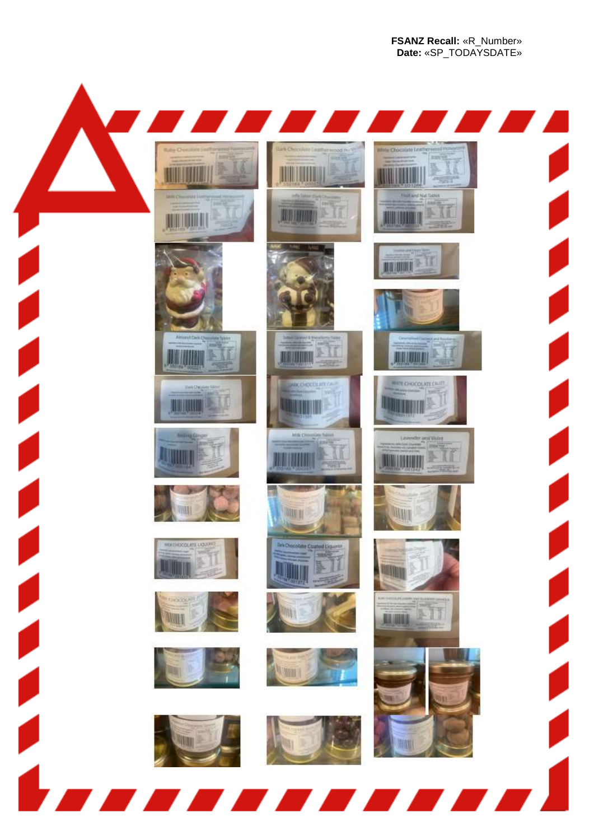**FSANZ Recall:** «R\_Number» **Date:** «SP\_TODAYSDATE»